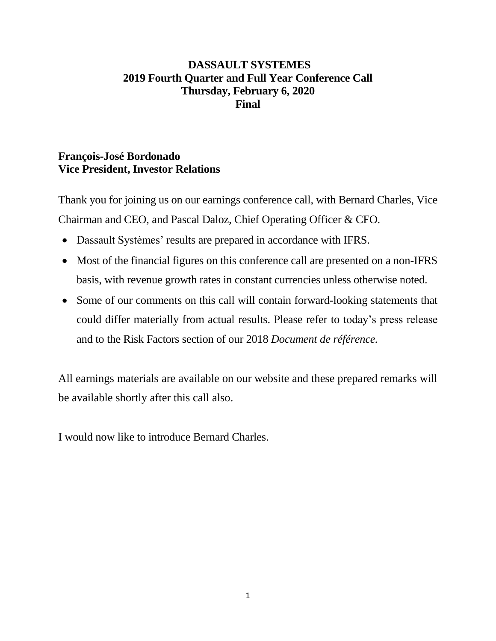## **DASSAULT SYSTEMES 2019 Fourth Quarter and Full Year Conference Call Thursday, February 6, 2020 Final**

## **François-José Bordonado Vice President, Investor Relations**

Thank you for joining us on our earnings conference call, with Bernard Charles, Vice Chairman and CEO, and Pascal Daloz, Chief Operating Officer & CFO.

- Dassault Systèmes' results are prepared in accordance with IFRS.
- Most of the financial figures on this conference call are presented on a non-IFRS basis, with revenue growth rates in constant currencies unless otherwise noted.
- Some of our comments on this call will contain forward-looking statements that could differ materially from actual results. Please refer to today's press release and to the Risk Factors section of our 2018 *Document de référence.*

All earnings materials are available on our website and these prepared remarks will be available shortly after this call also.

I would now like to introduce Bernard Charles.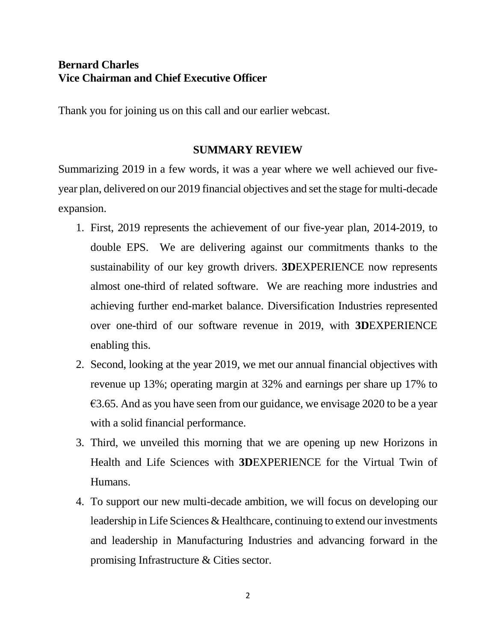## **Bernard Charles Vice Chairman and Chief Executive Officer**

Thank you for joining us on this call and our earlier webcast.

## **SUMMARY REVIEW**

Summarizing 2019 in a few words, it was a year where we well achieved our fiveyear plan, delivered on our 2019 financial objectives and set the stage for multi-decade expansion.

- 1. First, 2019 represents the achievement of our five-year plan, 2014-2019, to double EPS. We are delivering against our commitments thanks to the sustainability of our key growth drivers. **3D**EXPERIENCE now represents almost one-third of related software. We are reaching more industries and achieving further end-market balance. Diversification Industries represented over one-third of our software revenue in 2019, with **3D**EXPERIENCE enabling this.
- 2. Second, looking at the year 2019, we met our annual financial objectives with revenue up 13%; operating margin at 32% and earnings per share up 17% to  $\epsilon$ 3.65. And as you have seen from our guidance, we envisage 2020 to be a year with a solid financial performance.
- 3. Third, we unveiled this morning that we are opening up new Horizons in Health and Life Sciences with **3D**EXPERIENCE for the Virtual Twin of Humans.
- 4. To support our new multi-decade ambition, we will focus on developing our leadership in Life Sciences & Healthcare, continuing to extend our investments and leadership in Manufacturing Industries and advancing forward in the promising Infrastructure & Cities sector.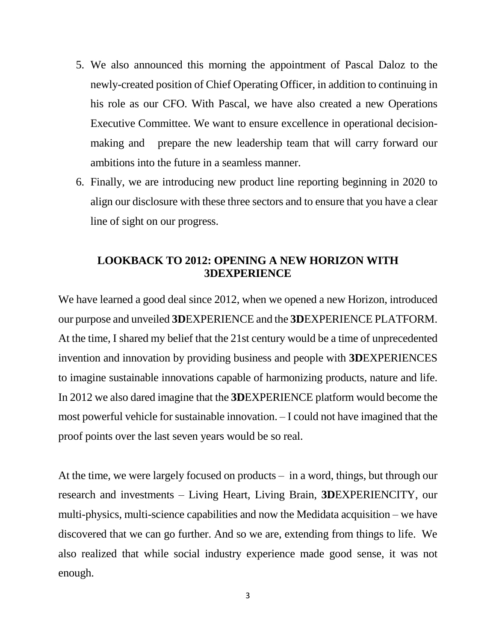- 5. We also announced this morning the appointment of Pascal Daloz to the newly-created position of Chief Operating Officer, in addition to continuing in his role as our CFO. With Pascal, we have also created a new Operations Executive Committee. We want to ensure excellence in operational decisionmaking and prepare the new leadership team that will carry forward our ambitions into the future in a seamless manner.
- 6. Finally, we are introducing new product line reporting beginning in 2020 to align our disclosure with these three sectors and to ensure that you have a clear line of sight on our progress.

## **LOOKBACK TO 2012: OPENING A NEW HORIZON WITH 3DEXPERIENCE**

We have learned a good deal since 2012, when we opened a new Horizon, introduced our purpose and unveiled **3D**EXPERIENCE and the **3D**EXPERIENCE PLATFORM. At the time, I shared my belief that the 21st century would be a time of unprecedented invention and innovation by providing business and people with **3D**EXPERIENCES to imagine sustainable innovations capable of harmonizing products, nature and life. In 2012 we also dared imagine that the **3D**EXPERIENCE platform would become the most powerful vehicle for sustainable innovation. – I could not have imagined that the proof points over the last seven years would be so real.

At the time, we were largely focused on products – in a word, things, but through our research and investments – Living Heart, Living Brain, **3D**EXPERIENCITY, our multi-physics, multi-science capabilities and now the Medidata acquisition – we have discovered that we can go further. And so we are, extending from things to life. We also realized that while social industry experience made good sense, it was not enough.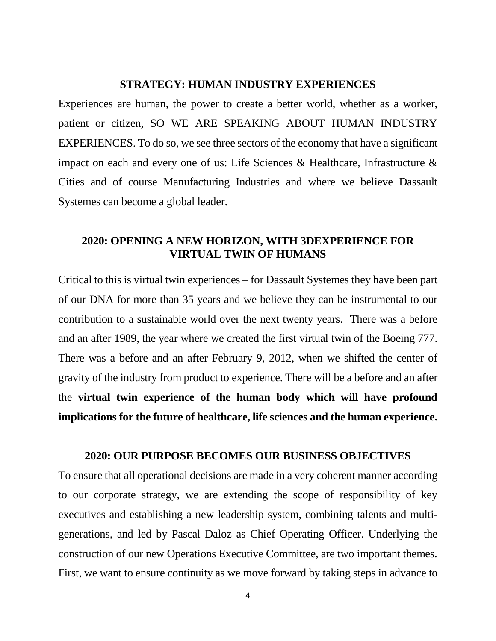#### **STRATEGY: HUMAN INDUSTRY EXPERIENCES**

Experiences are human, the power to create a better world, whether as a worker, patient or citizen, SO WE ARE SPEAKING ABOUT HUMAN INDUSTRY EXPERIENCES. To do so, we see three sectors of the economy that have a significant impact on each and every one of us: Life Sciences & Healthcare, Infrastructure & Cities and of course Manufacturing Industries and where we believe Dassault Systemes can become a global leader.

### **2020: OPENING A NEW HORIZON, WITH 3DEXPERIENCE FOR VIRTUAL TWIN OF HUMANS**

Critical to this is virtual twin experiences – for Dassault Systemes they have been part of our DNA for more than 35 years and we believe they can be instrumental to our contribution to a sustainable world over the next twenty years. There was a before and an after 1989, the year where we created the first virtual twin of the Boeing 777. There was a before and an after February 9, 2012, when we shifted the center of gravity of the industry from product to experience. There will be a before and an after the **virtual twin experience of the human body which will have profound implications for the future of healthcare, life sciences and the human experience.**

#### **2020: OUR PURPOSE BECOMES OUR BUSINESS OBJECTIVES**

To ensure that all operational decisions are made in a very coherent manner according to our corporate strategy, we are extending the scope of responsibility of key executives and establishing a new leadership system, combining talents and multigenerations, and led by Pascal Daloz as Chief Operating Officer. Underlying the construction of our new Operations Executive Committee, are two important themes. First, we want to ensure continuity as we move forward by taking steps in advance to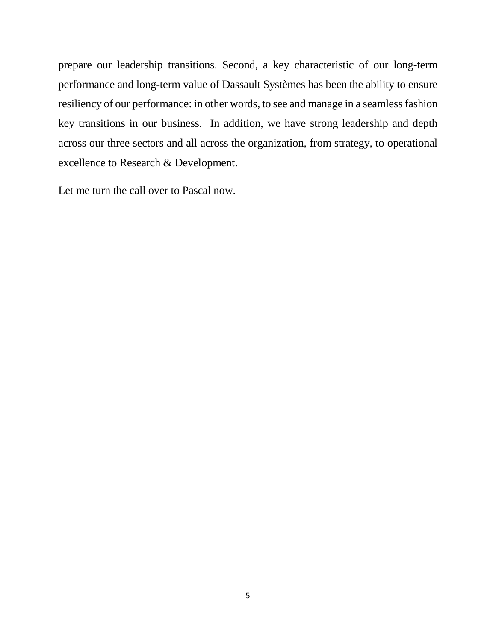prepare our leadership transitions. Second, a key characteristic of our long-term performance and long-term value of Dassault Systèmes has been the ability to ensure resiliency of our performance: in other words, to see and manage in a seamless fashion key transitions in our business. In addition, we have strong leadership and depth across our three sectors and all across the organization, from strategy, to operational excellence to Research & Development.

Let me turn the call over to Pascal now.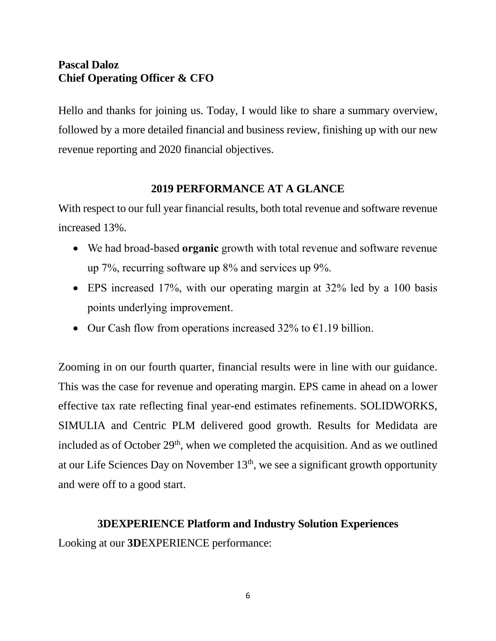# **Pascal Daloz Chief Operating Officer & CFO**

Hello and thanks for joining us. Today, I would like to share a summary overview, followed by a more detailed financial and business review, finishing up with our new revenue reporting and 2020 financial objectives.

## **2019 PERFORMANCE AT A GLANCE**

With respect to our full year financial results, both total revenue and software revenue increased 13%.

- We had broad-based **organic** growth with total revenue and software revenue up 7%, recurring software up 8% and services up 9%.
- EPS increased 17%, with our operating margin at 32% led by a 100 basis points underlying improvement.
- Our Cash flow from operations increased 32% to  $\epsilon$ 1.19 billion.

Zooming in on our fourth quarter, financial results were in line with our guidance. This was the case for revenue and operating margin. EPS came in ahead on a lower effective tax rate reflecting final year-end estimates refinements. SOLIDWORKS, SIMULIA and Centric PLM delivered good growth. Results for Medidata are included as of October  $29<sup>th</sup>$ , when we completed the acquisition. And as we outlined at our Life Sciences Day on November  $13<sup>th</sup>$ , we see a significant growth opportunity and were off to a good start.

## **3DEXPERIENCE Platform and Industry Solution Experiences**

Looking at our **3D**EXPERIENCE performance: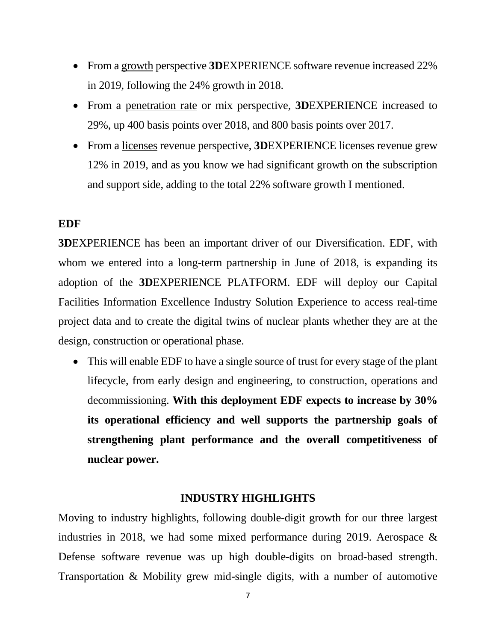- From a growth perspective **3D**EXPERIENCE software revenue increased 22% in 2019, following the 24% growth in 2018.
- From a penetration rate or mix perspective, **3D**EXPERIENCE increased to 29%, up 400 basis points over 2018, and 800 basis points over 2017.
- From a licenses revenue perspective, **3D**EXPERIENCE licenses revenue grew 12% in 2019, and as you know we had significant growth on the subscription and support side, adding to the total 22% software growth I mentioned.

### **EDF**

**3D**EXPERIENCE has been an important driver of our Diversification. EDF, with whom we entered into a long-term partnership in June of 2018, is expanding its adoption of the **3D**EXPERIENCE PLATFORM. EDF will deploy our Capital Facilities Information Excellence Industry Solution Experience to access real-time project data and to create the digital twins of nuclear plants whether they are at the design, construction or operational phase.

• This will enable EDF to have a single source of trust for every stage of the plant lifecycle, from early design and engineering, to construction, operations and decommissioning. **With this deployment EDF expects to increase by 30% its operational efficiency and well supports the partnership goals of strengthening plant performance and the overall competitiveness of nuclear power.**

### **INDUSTRY HIGHLIGHTS**

Moving to industry highlights, following double-digit growth for our three largest industries in 2018, we had some mixed performance during 2019. Aerospace & Defense software revenue was up high double-digits on broad-based strength. Transportation & Mobility grew mid-single digits, with a number of automotive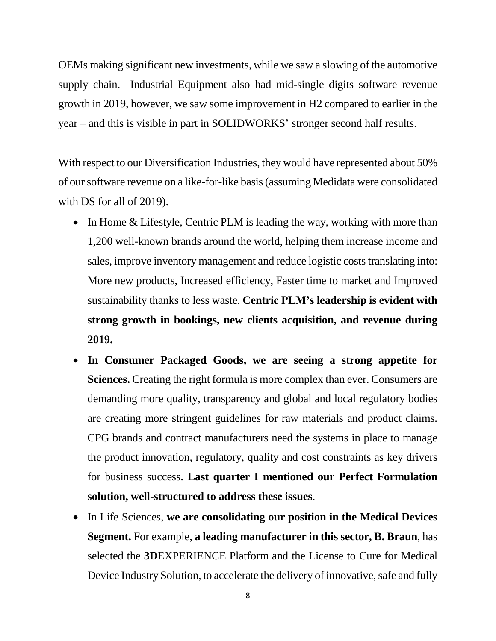OEMs making significant new investments, while we saw a slowing of the automotive supply chain. Industrial Equipment also had mid-single digits software revenue growth in 2019, however, we saw some improvement in H2 compared to earlier in the year – and this is visible in part in SOLIDWORKS' stronger second half results.

With respect to our Diversification Industries, they would have represented about 50% of our software revenue on a like-for-like basis (assuming Medidata were consolidated with DS for all of 2019).

- In Home & Lifestyle, Centric PLM is leading the way, working with more than 1,200 well-known brands around the world, helping them increase income and sales, improve inventory management and reduce logistic costs translating into: More new products, Increased efficiency, Faster time to market and Improved sustainability thanks to less waste. **Centric PLM's leadership is evident with strong growth in bookings, new clients acquisition, and revenue during 2019.**
- **In Consumer Packaged Goods, we are seeing a strong appetite for Sciences.** Creating the right formula is more complex than ever. Consumers are demanding more quality, transparency and global and local regulatory bodies are creating more stringent guidelines for raw materials and product claims. CPG brands and contract manufacturers need the systems in place to manage the product innovation, regulatory, quality and cost constraints as key drivers for business success. **Last quarter I mentioned our Perfect Formulation solution, well-structured to address these issues**.
- In Life Sciences, **we are consolidating our position in the Medical Devices Segment.** For example, **a leading manufacturer in this sector, B. Braun**, has selected the **3D**EXPERIENCE Platform and the License to Cure for Medical Device Industry Solution, to accelerate the delivery of innovative, safe and fully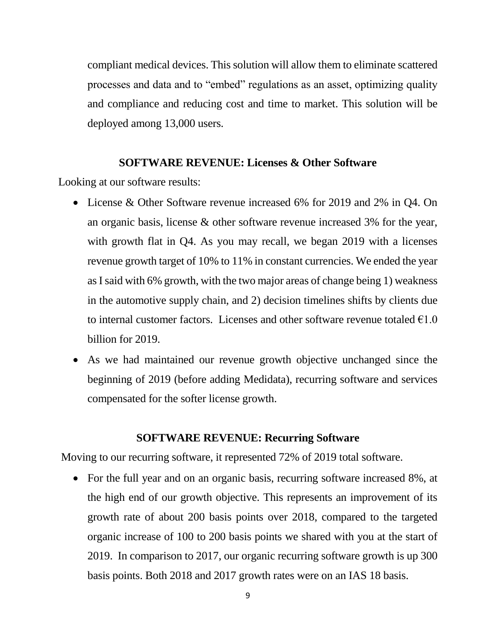compliant medical devices. This solution will allow them to eliminate scattered processes and data and to "embed" regulations as an asset, optimizing quality and compliance and reducing cost and time to market. This solution will be deployed among 13,000 users.

### **SOFTWARE REVENUE: Licenses & Other Software**

Looking at our software results:

- License & Other Software revenue increased 6% for 2019 and 2% in Q4. On an organic basis, license & other software revenue increased 3% for the year, with growth flat in Q4. As you may recall, we began 2019 with a licenses revenue growth target of 10% to 11% in constant currencies. We ended the year as I said with 6% growth, with the two major areas of change being 1) weakness in the automotive supply chain, and 2) decision timelines shifts by clients due to internal customer factors. Licenses and other software revenue totaled  $\epsilon$ 1.0 billion for 2019.
- As we had maintained our revenue growth objective unchanged since the beginning of 2019 (before adding Medidata), recurring software and services compensated for the softer license growth.

#### **SOFTWARE REVENUE: Recurring Software**

Moving to our recurring software, it represented 72% of 2019 total software.

• For the full year and on an organic basis, recurring software increased 8%, at the high end of our growth objective. This represents an improvement of its growth rate of about 200 basis points over 2018, compared to the targeted organic increase of 100 to 200 basis points we shared with you at the start of 2019. In comparison to 2017, our organic recurring software growth is up 300 basis points. Both 2018 and 2017 growth rates were on an IAS 18 basis.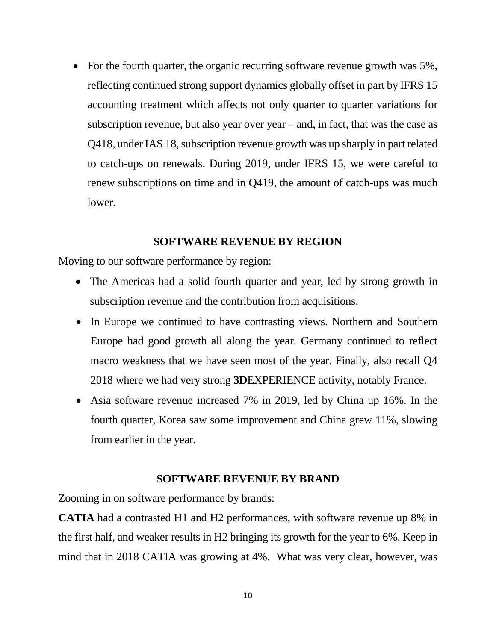• For the fourth quarter, the organic recurring software revenue growth was 5%, reflecting continued strong support dynamics globally offset in part by IFRS 15 accounting treatment which affects not only quarter to quarter variations for subscription revenue, but also year over year – and, in fact, that was the case as Q418, under IAS 18, subscription revenue growth was up sharply in part related to catch-ups on renewals. During 2019, under IFRS 15, we were careful to renew subscriptions on time and in Q419, the amount of catch-ups was much lower.

### **SOFTWARE REVENUE BY REGION**

Moving to our software performance by region:

- The Americas had a solid fourth quarter and year, led by strong growth in subscription revenue and the contribution from acquisitions.
- In Europe we continued to have contrasting views. Northern and Southern Europe had good growth all along the year. Germany continued to reflect macro weakness that we have seen most of the year. Finally, also recall Q4 2018 where we had very strong **3D**EXPERIENCE activity, notably France.
- Asia software revenue increased 7% in 2019, led by China up 16%. In the fourth quarter, Korea saw some improvement and China grew 11%, slowing from earlier in the year.

### **SOFTWARE REVENUE BY BRAND**

Zooming in on software performance by brands:

**CATIA** had a contrasted H1 and H2 performances, with software revenue up 8% in the first half, and weaker results in H2 bringing its growth for the year to 6%. Keep in mind that in 2018 CATIA was growing at 4%. What was very clear, however, was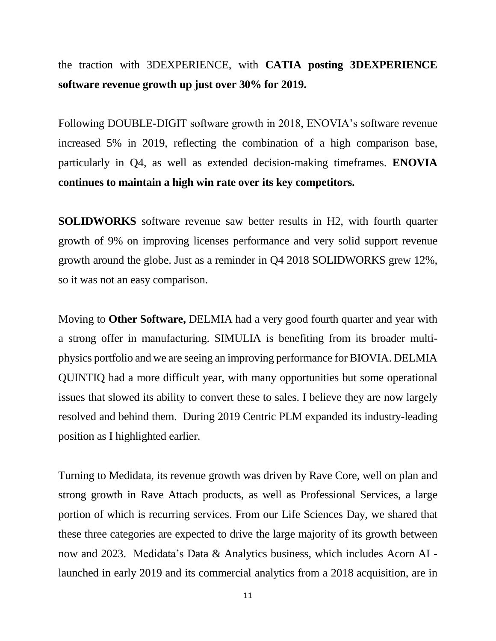the traction with 3DEXPERIENCE, with **CATIA posting 3DEXPERIENCE software revenue growth up just over 30% for 2019.**

Following DOUBLE-DIGIT software growth in 2018, ENOVIA's software revenue increased 5% in 2019, reflecting the combination of a high comparison base, particularly in Q4, as well as extended decision-making timeframes. **ENOVIA continues to maintain a high win rate over its key competitors.**

**SOLIDWORKS** software revenue saw better results in H2, with fourth quarter growth of 9% on improving licenses performance and very solid support revenue growth around the globe. Just as a reminder in Q4 2018 SOLIDWORKS grew 12%, so it was not an easy comparison.

Moving to **Other Software,** DELMIA had a very good fourth quarter and year with a strong offer in manufacturing. SIMULIA is benefiting from its broader multiphysics portfolio and we are seeing an improving performance for BIOVIA. DELMIA QUINTIQ had a more difficult year, with many opportunities but some operational issues that slowed its ability to convert these to sales. I believe they are now largely resolved and behind them. During 2019 Centric PLM expanded its industry-leading position as I highlighted earlier.

Turning to Medidata, its revenue growth was driven by Rave Core, well on plan and strong growth in Rave Attach products, as well as Professional Services, a large portion of which is recurring services. From our Life Sciences Day, we shared that these three categories are expected to drive the large majority of its growth between now and 2023. Medidata's Data & Analytics business, which includes Acorn AI launched in early 2019 and its commercial analytics from a 2018 acquisition, are in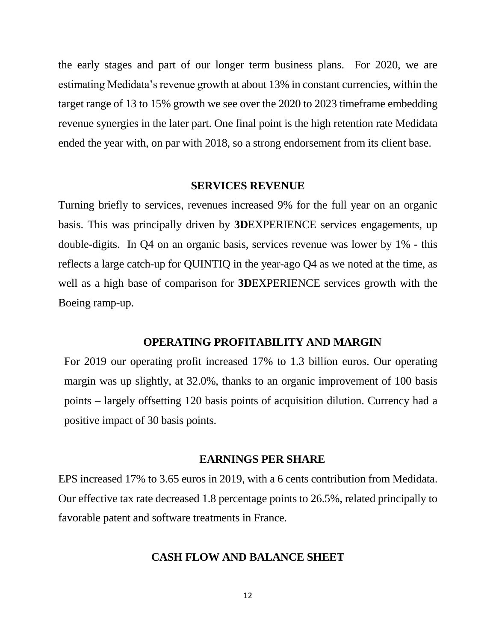the early stages and part of our longer term business plans. For 2020, we are estimating Medidata's revenue growth at about 13% in constant currencies, within the target range of 13 to 15% growth we see over the 2020 to 2023 timeframe embedding revenue synergies in the later part. One final point is the high retention rate Medidata ended the year with, on par with 2018, so a strong endorsement from its client base.

#### **SERVICES REVENUE**

Turning briefly to services, revenues increased 9% for the full year on an organic basis. This was principally driven by **3D**EXPERIENCE services engagements, up double-digits. In Q4 on an organic basis, services revenue was lower by 1% - this reflects a large catch-up for QUINTIQ in the year-ago Q4 as we noted at the time, as well as a high base of comparison for **3D**EXPERIENCE services growth with the Boeing ramp-up.

#### **OPERATING PROFITABILITY AND MARGIN**

For 2019 our operating profit increased 17% to 1.3 billion euros. Our operating margin was up slightly, at 32.0%, thanks to an organic improvement of 100 basis points – largely offsetting 120 basis points of acquisition dilution. Currency had a positive impact of 30 basis points.

#### **EARNINGS PER SHARE**

EPS increased 17% to 3.65 euros in 2019, with a 6 cents contribution from Medidata. Our effective tax rate decreased 1.8 percentage points to 26.5%, related principally to favorable patent and software treatments in France.

#### **CASH FLOW AND BALANCE SHEET**

12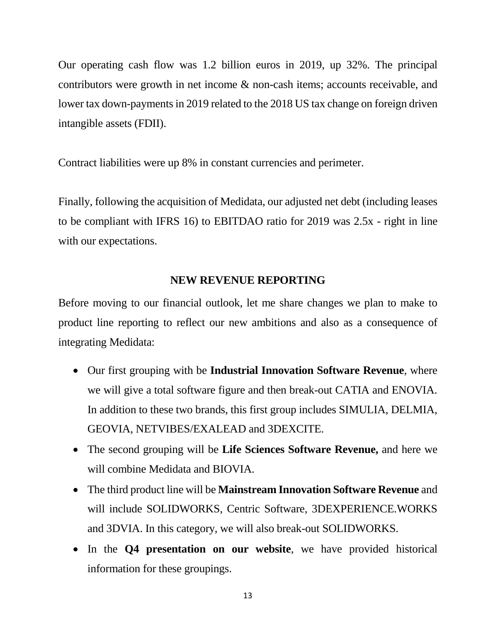Our operating cash flow was 1.2 billion euros in 2019, up 32%. The principal contributors were growth in net income & non-cash items; accounts receivable, and lower tax down-payments in 2019 related to the 2018 US tax change on foreign driven intangible assets (FDII).

Contract liabilities were up 8% in constant currencies and perimeter.

Finally, following the acquisition of Medidata, our adjusted net debt (including leases to be compliant with IFRS 16) to EBITDAO ratio for 2019 was 2.5x - right in line with our expectations.

### **NEW REVENUE REPORTING**

Before moving to our financial outlook, let me share changes we plan to make to product line reporting to reflect our new ambitions and also as a consequence of integrating Medidata:

- Our first grouping with be **Industrial Innovation Software Revenue**, where we will give a total software figure and then break-out CATIA and ENOVIA. In addition to these two brands, this first group includes SIMULIA, DELMIA, GEOVIA, NETVIBES/EXALEAD and 3DEXCITE.
- The second grouping will be **Life Sciences Software Revenue,** and here we will combine Medidata and BIOVIA.
- The third product line will be **Mainstream Innovation Software Revenue** and will include SOLIDWORKS, Centric Software, 3DEXPERIENCE.WORKS and 3DVIA. In this category, we will also break-out SOLIDWORKS.
- In the **Q4 presentation on our website**, we have provided historical information for these groupings.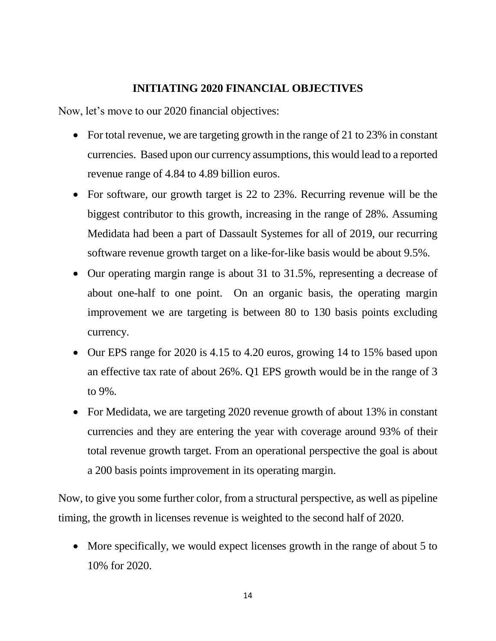## **INITIATING 2020 FINANCIAL OBJECTIVES**

Now, let's move to our 2020 financial objectives:

- For total revenue, we are targeting growth in the range of 21 to 23% in constant currencies. Based upon our currency assumptions, this would lead to a reported revenue range of 4.84 to 4.89 billion euros.
- For software, our growth target is 22 to 23%. Recurring revenue will be the biggest contributor to this growth, increasing in the range of 28%. Assuming Medidata had been a part of Dassault Systemes for all of 2019, our recurring software revenue growth target on a like-for-like basis would be about 9.5%.
- Our operating margin range is about 31 to 31.5%, representing a decrease of about one-half to one point. On an organic basis, the operating margin improvement we are targeting is between 80 to 130 basis points excluding currency.
- Our EPS range for 2020 is 4.15 to 4.20 euros, growing 14 to 15% based upon an effective tax rate of about 26%. Q1 EPS growth would be in the range of 3 to 9%.
- For Medidata, we are targeting 2020 revenue growth of about 13% in constant currencies and they are entering the year with coverage around 93% of their total revenue growth target. From an operational perspective the goal is about a 200 basis points improvement in its operating margin.

Now, to give you some further color, from a structural perspective, as well as pipeline timing, the growth in licenses revenue is weighted to the second half of 2020.

• More specifically, we would expect licenses growth in the range of about 5 to 10% for 2020.